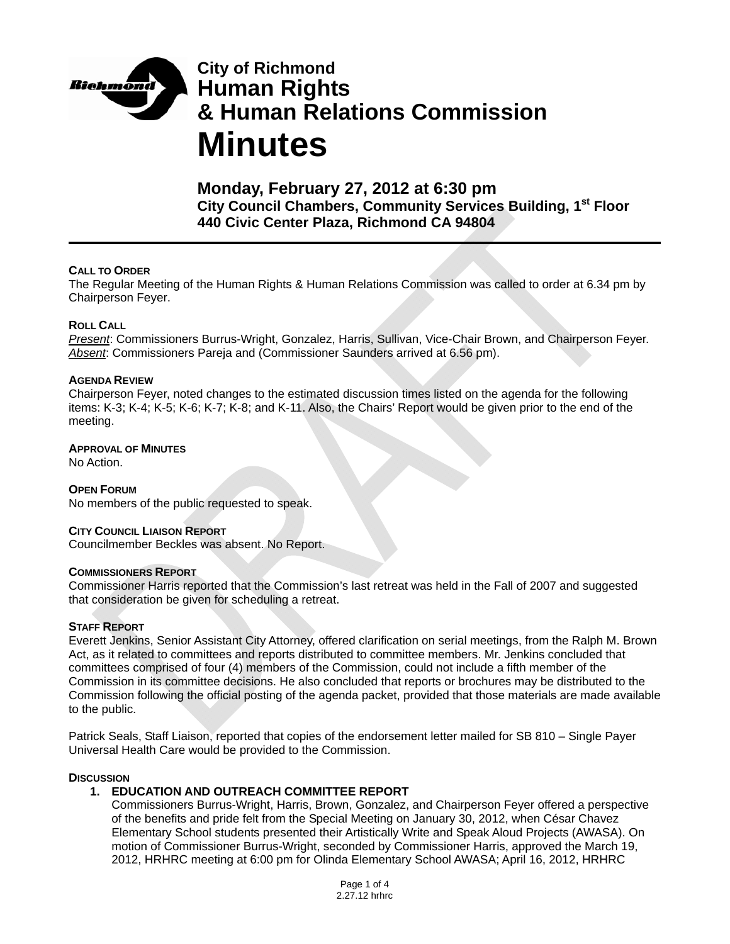

# **City of Richmond Human Rights & Human Relations Commission Minutes**

**Monday, February 27, 2012 at 6:30 pm City Council Chambers, Community Services Building, 1st Floor 440 Civic Center Plaza, Richmond CA 94804** 

### **CALL TO ORDER**

The Regular Meeting of the Human Rights & Human Relations Commission was called to order at 6.34 pm by Chairperson Feyer.

### **ROLL CALL**

*Present*: Commissioners Burrus-Wright, Gonzalez, Harris, Sullivan, Vice-Chair Brown, and Chairperson Feyer. *Absent*: Commissioners Pareja and (Commissioner Saunders arrived at 6.56 pm).

### **AGENDA REVIEW**

Chairperson Feyer, noted changes to the estimated discussion times listed on the agenda for the following items: K-3; K-4; K-5; K-6; K-7; K-8; and K-11. Also, the Chairs' Report would be given prior to the end of the meeting.

### **APPROVAL OF MINUTES**

No Action.

**OPEN FORUM** No members of the public requested to speak.

#### **CITY COUNCIL LIAISON REPORT**

Councilmember Beckles was absent. No Report.

#### **COMMISSIONERS REPORT**

Commissioner Harris reported that the Commission's last retreat was held in the Fall of 2007 and suggested that consideration be given for scheduling a retreat.

#### **STAFF REPORT**

Everett Jenkins, Senior Assistant City Attorney, offered clarification on serial meetings, from the Ralph M. Brown Act, as it related to committees and reports distributed to committee members. Mr. Jenkins concluded that committees comprised of four (4) members of the Commission, could not include a fifth member of the Commission in its committee decisions. He also concluded that reports or brochures may be distributed to the Commission following the official posting of the agenda packet, provided that those materials are made available to the public.

Patrick Seals, Staff Liaison, reported that copies of the endorsement letter mailed for SB 810 – Single Payer Universal Health Care would be provided to the Commission.

#### **DISCUSSION**

## **1. EDUCATION AND OUTREACH COMMITTEE REPORT**

Commissioners Burrus-Wright, Harris, Brown, Gonzalez, and Chairperson Feyer offered a perspective of the benefits and pride felt from the Special Meeting on January 30, 2012, when César Chavez Elementary School students presented their Artistically Write and Speak Aloud Projects (AWASA). On motion of Commissioner Burrus-Wright, seconded by Commissioner Harris, approved the March 19, 2012, HRHRC meeting at 6:00 pm for Olinda Elementary School AWASA; April 16, 2012, HRHRC

> Page 1 of 4 2.27.12 hrhrc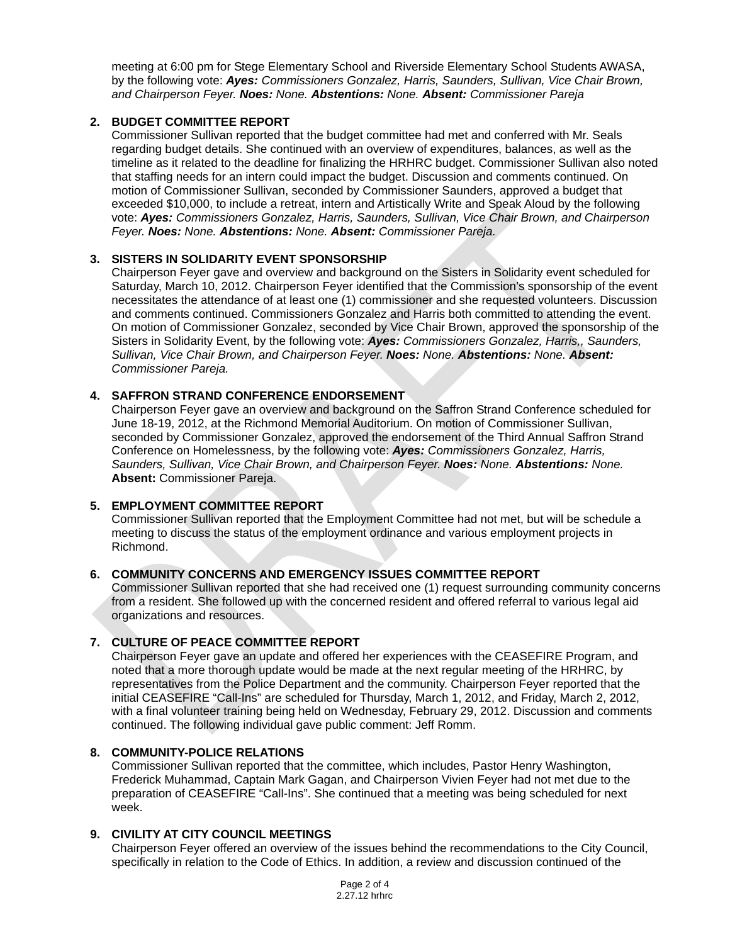meeting at 6:00 pm for Stege Elementary School and Riverside Elementary School Students AWASA, by the following vote: *Ayes: Commissioners Gonzalez, Harris, Saunders, Sullivan, Vice Chair Brown, and Chairperson Feyer. Noes: None. Abstentions: None. Absent: Commissioner Pareja*

## **2. BUDGET COMMITTEE REPORT**

Commissioner Sullivan reported that the budget committee had met and conferred with Mr. Seals regarding budget details. She continued with an overview of expenditures, balances, as well as the timeline as it related to the deadline for finalizing the HRHRC budget. Commissioner Sullivan also noted that staffing needs for an intern could impact the budget. Discussion and comments continued. On motion of Commissioner Sullivan, seconded by Commissioner Saunders, approved a budget that exceeded \$10,000, to include a retreat, intern and Artistically Write and Speak Aloud by the following vote: *Ayes: Commissioners Gonzalez, Harris, Saunders, Sullivan, Vice Chair Brown, and Chairperson Feyer. Noes: None. Abstentions: None. Absent: Commissioner Pareja.*

## **3. SISTERS IN SOLIDARITY EVENT SPONSORSHIP**

Chairperson Feyer gave and overview and background on the Sisters in Solidarity event scheduled for Saturday, March 10, 2012. Chairperson Feyer identified that the Commission's sponsorship of the event necessitates the attendance of at least one (1) commissioner and she requested volunteers. Discussion and comments continued. Commissioners Gonzalez and Harris both committed to attending the event. On motion of Commissioner Gonzalez, seconded by Vice Chair Brown, approved the sponsorship of the Sisters in Solidarity Event, by the following vote: *Ayes: Commissioners Gonzalez, Harris,, Saunders, Sullivan, Vice Chair Brown, and Chairperson Feyer. Noes: None. Abstentions: None. Absent: Commissioner Pareja.*

## **4. SAFFRON STRAND CONFERENCE ENDORSEMENT**

Chairperson Feyer gave an overview and background on the Saffron Strand Conference scheduled for June 18-19, 2012, at the Richmond Memorial Auditorium. On motion of Commissioner Sullivan, seconded by Commissioner Gonzalez, approved the endorsement of the Third Annual Saffron Strand Conference on Homelessness, by the following vote: *Ayes: Commissioners Gonzalez, Harris, Saunders, Sullivan, Vice Chair Brown, and Chairperson Feyer. Noes: None. Abstentions: None.* **Absent:** Commissioner Pareja.

## **5. EMPLOYMENT COMMITTEE REPORT**

Commissioner Sullivan reported that the Employment Committee had not met, but will be schedule a meeting to discuss the status of the employment ordinance and various employment projects in Richmond.

## **6. COMMUNITY CONCERNS AND EMERGENCY ISSUES COMMITTEE REPORT**

Commissioner Sullivan reported that she had received one (1) request surrounding community concerns from a resident. She followed up with the concerned resident and offered referral to various legal aid organizations and resources.

## **7. CULTURE OF PEACE COMMITTEE REPORT**

Chairperson Feyer gave an update and offered her experiences with the CEASEFIRE Program, and noted that a more thorough update would be made at the next regular meeting of the HRHRC, by representatives from the Police Department and the community. Chairperson Feyer reported that the initial CEASEFIRE "Call-Ins" are scheduled for Thursday, March 1, 2012, and Friday, March 2, 2012, with a final volunteer training being held on Wednesday, February 29, 2012. Discussion and comments continued. The following individual gave public comment: Jeff Romm.

## **8. COMMUNITY-POLICE RELATIONS**

Commissioner Sullivan reported that the committee, which includes, Pastor Henry Washington, Frederick Muhammad, Captain Mark Gagan, and Chairperson Vivien Feyer had not met due to the preparation of CEASEFIRE "Call-Ins". She continued that a meeting was being scheduled for next week.

# **9. CIVILITY AT CITY COUNCIL MEETINGS**

Chairperson Feyer offered an overview of the issues behind the recommendations to the City Council, specifically in relation to the Code of Ethics. In addition, a review and discussion continued of the

> Page 2 of 4 2.27.12 hrhrc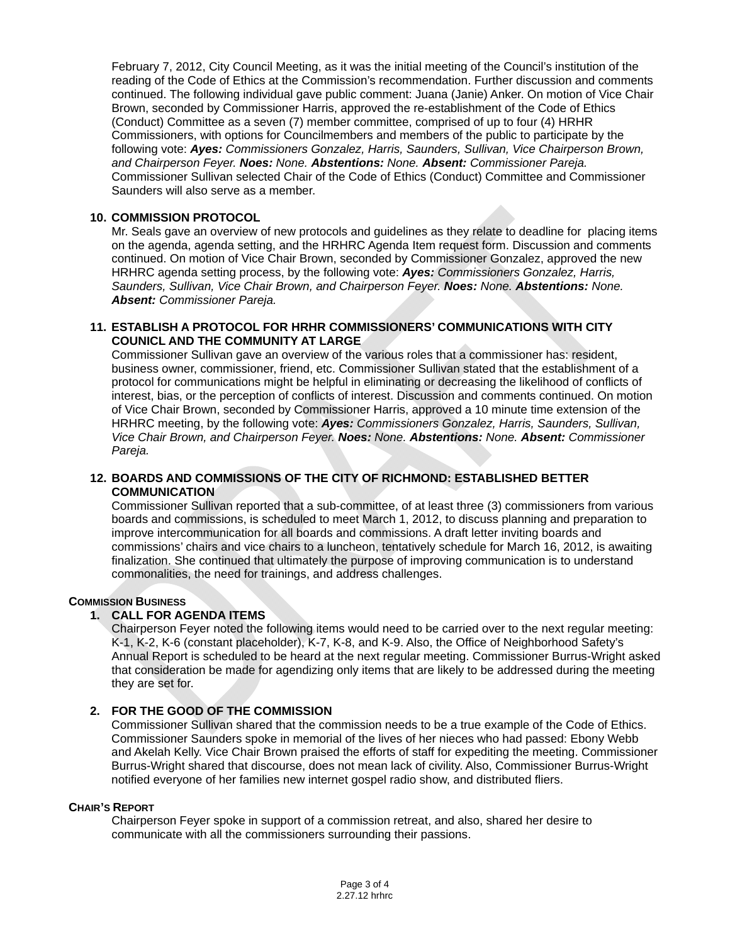February 7, 2012, City Council Meeting, as it was the initial meeting of the Council's institution of the reading of the Code of Ethics at the Commission's recommendation. Further discussion and comments continued. The following individual gave public comment: Juana (Janie) Anker. On motion of Vice Chair Brown, seconded by Commissioner Harris, approved the re-establishment of the Code of Ethics (Conduct) Committee as a seven (7) member committee, comprised of up to four (4) HRHR Commissioners, with options for Councilmembers and members of the public to participate by the following vote: *Ayes: Commissioners Gonzalez, Harris, Saunders, Sullivan, Vice Chairperson Brown, and Chairperson Feyer. Noes: None. Abstentions: None. Absent: Commissioner Pareja.* Commissioner Sullivan selected Chair of the Code of Ethics (Conduct) Committee and Commissioner Saunders will also serve as a member.

#### **10. COMMISSION PROTOCOL**

Mr. Seals gave an overview of new protocols and guidelines as they relate to deadline for placing items on the agenda, agenda setting, and the HRHRC Agenda Item request form. Discussion and comments continued. On motion of Vice Chair Brown, seconded by Commissioner Gonzalez, approved the new HRHRC agenda setting process, by the following vote: *Ayes: Commissioners Gonzalez, Harris, Saunders, Sullivan, Vice Chair Brown, and Chairperson Feyer. Noes: None. Abstentions: None. Absent: Commissioner Pareja.* 

#### **11. ESTABLISH A PROTOCOL FOR HRHR COMMISSIONERS' COMMUNICATIONS WITH CITY COUNICL AND THE COMMUNITY AT LARGE**

Commissioner Sullivan gave an overview of the various roles that a commissioner has: resident, business owner, commissioner, friend, etc. Commissioner Sullivan stated that the establishment of a protocol for communications might be helpful in eliminating or decreasing the likelihood of conflicts of interest, bias, or the perception of conflicts of interest. Discussion and comments continued. On motion of Vice Chair Brown, seconded by Commissioner Harris, approved a 10 minute time extension of the HRHRC meeting, by the following vote: *Ayes: Commissioners Gonzalez, Harris, Saunders, Sullivan, Vice Chair Brown, and Chairperson Feyer. Noes: None. Abstentions: None. Absent: Commissioner Pareja.*

### **12. BOARDS AND COMMISSIONS OF THE CITY OF RICHMOND: ESTABLISHED BETTER COMMUNICATION**

Commissioner Sullivan reported that a sub-committee, of at least three (3) commissioners from various boards and commissions, is scheduled to meet March 1, 2012, to discuss planning and preparation to improve intercommunication for all boards and commissions. A draft letter inviting boards and commissions' chairs and vice chairs to a luncheon, tentatively schedule for March 16, 2012, is awaiting finalization. She continued that ultimately the purpose of improving communication is to understand commonalities, the need for trainings, and address challenges.

#### **COMMISSION BUSINESS**

## **1. CALL FOR AGENDA ITEMS**

Chairperson Feyer noted the following items would need to be carried over to the next regular meeting: K-1, K-2, K-6 (constant placeholder), K-7, K-8, and K-9. Also, the Office of Neighborhood Safety's Annual Report is scheduled to be heard at the next regular meeting. Commissioner Burrus-Wright asked that consideration be made for agendizing only items that are likely to be addressed during the meeting they are set for.

## **2. FOR THE GOOD OF THE COMMISSION**

Commissioner Sullivan shared that the commission needs to be a true example of the Code of Ethics. Commissioner Saunders spoke in memorial of the lives of her nieces who had passed: Ebony Webb and Akelah Kelly. Vice Chair Brown praised the efforts of staff for expediting the meeting. Commissioner Burrus-Wright shared that discourse, does not mean lack of civility. Also, Commissioner Burrus-Wright notified everyone of her families new internet gospel radio show, and distributed fliers.

# **CHAIR'S REPORT**

Chairperson Feyer spoke in support of a commission retreat, and also, shared her desire to communicate with all the commissioners surrounding their passions.